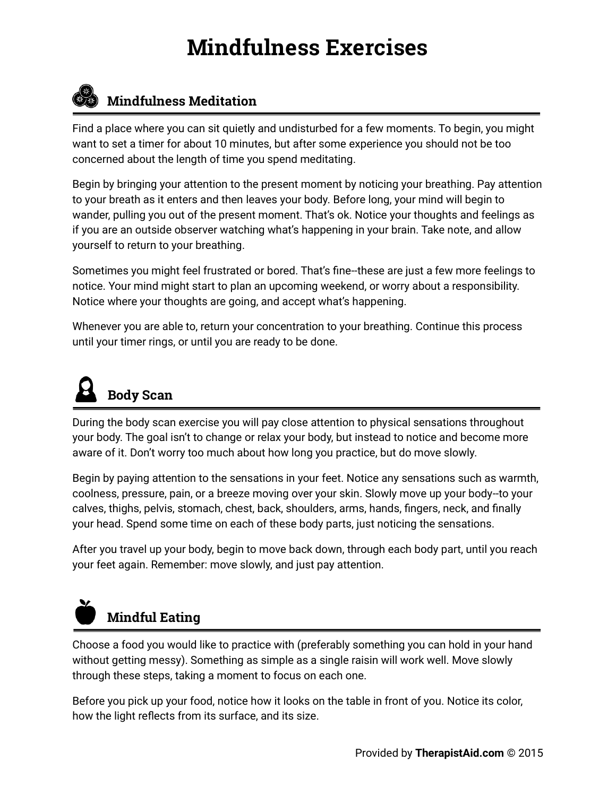## **Mindfulness Exercises**



### *Co* Mindfulness Meditation

Find a place where you can sit quietly and undisturbed for a few moments. To begin, you might want to set a timer for about 10 minutes, but after some experience you should not be too concerned about the length of time you spend meditating.

Begin by bringing your attention to the present moment by noticing your breathing. Pay attention to your breath as it enters and then leaves your body. Before long, your mind will begin to wander, pulling you out of the present moment. That's ok. Notice your thoughts and feelings as if you are an outside observer watching what's happening in your brain. Take note, and allow yourself to return to your breathing.

Sometimes you might feel frustrated or bored. That's fine--these are just a few more feelings to notice. Your mind might start to plan an upcoming weekend, or worry about a responsibility. Notice where your thoughts are going, and accept what's happening.

Whenever you are able to, return your concentration to your breathing. Continue this process until your timer rings, or until you are ready to be done.

# **Body Scan**

During the body scan exercise you will pay close attention to physical sensations throughout your body. The goal isn't to change or relax your body, but instead to notice and become more aware of it. Don't worry too much about how long you practice, but do move slowly.

Begin by paying attention to the sensations in your feet. Notice any sensations such as warmth, coolness, pressure, pain, or a breeze moving over your skin. Slowly move up your body--to your calves, thighs, pelvis, stomach, chest, back, shoulders, arms, hands, fingers, neck, and finally your head. Spend some time on each of these body parts, just noticing the sensations.

After you travel up your body, begin to move back down, through each body part, until you reach your feet again. Remember: move slowly, and just pay attention.

# **Mindful Eating**

Choose a food you would like to practice with (preferably something you can hold in your hand without getting messy). Something as simple as a single raisin will work well. Move slowly through these steps, taking a moment to focus on each one.

Before you pick up your food, notice how it looks on the table in front of you. Notice its color, how the light reflects from its surface, and its size.